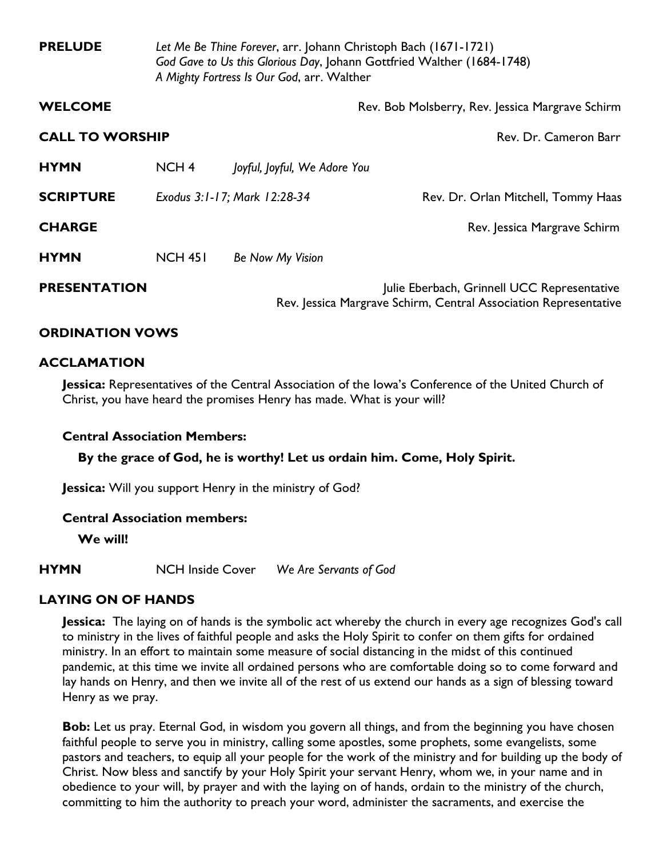| <b>PRELUDE</b>         | Let Me Be Thine Forever, arr. Johann Christoph Bach (1671-1721)<br>God Gave to Us this Glorious Day, Johann Gottfried Walther (1684-1748)<br>A Mighty Fortress Is Our God, arr. Walther |                              |                                                                                                                 |
|------------------------|-----------------------------------------------------------------------------------------------------------------------------------------------------------------------------------------|------------------------------|-----------------------------------------------------------------------------------------------------------------|
| <b>WELCOME</b>         |                                                                                                                                                                                         |                              | Rev. Bob Molsberry, Rev. Jessica Margrave Schirm                                                                |
| <b>CALL TO WORSHIP</b> |                                                                                                                                                                                         |                              | Rev. Dr. Cameron Barr                                                                                           |
| <b>HYMN</b>            | NCH <sub>4</sub>                                                                                                                                                                        | Joyful, Joyful, We Adore You |                                                                                                                 |
| <b>SCRIPTURE</b>       |                                                                                                                                                                                         | Exodus 3:1-17; Mark 12:28-34 | Rev. Dr. Orlan Mitchell, Tommy Haas                                                                             |
| <b>CHARGE</b>          |                                                                                                                                                                                         |                              | Rev. Jessica Margrave Schirm                                                                                    |
| <b>HYMN</b>            | <b>NCH 451</b>                                                                                                                                                                          | Be Now My Vision             |                                                                                                                 |
| <b>PRESENTATION</b>    |                                                                                                                                                                                         |                              | Julie Eberbach, Grinnell UCC Representative<br>Rev. Jessica Margrave Schirm, Central Association Representative |

## **ORDINATION VOWS**

#### **ACCLAMATION**

**Jessica:** Representatives of the Central Association of the Iowa's Conference of the United Church of Christ, you have heard the promises Henry has made. What is your will?

#### **Central Association Members:**

**By the grace of God, he is worthy! Let us ordain him. Come, Holy Spirit.**

**Jessica:** Will you support Henry in the ministry of God?

#### **Central Association members:**

**We will!**

**HYMN** NCH Inside Cover *We Are Servants of God*

#### **LAYING ON OF HANDS**

**Jessica:** The laying on of hands is the symbolic act whereby the church in every age recognizes God's call to ministry in the lives of faithful people and asks the Holy Spirit to confer on them gifts for ordained ministry. In an effort to maintain some measure of social distancing in the midst of this continued pandemic, at this time we invite all ordained persons who are comfortable doing so to come forward and lay hands on Henry, and then we invite all of the rest of us extend our hands as a sign of blessing toward Henry as we pray.

**Bob:** Let us pray. Eternal God, in wisdom you govern all things, and from the beginning you have chosen faithful people to serve you in ministry, calling some apostles, some prophets, some evangelists, some pastors and teachers, to equip all your people for the work of the ministry and for building up the body of Christ. Now bless and sanctify by your Holy Spirit your servant Henry, whom we, in your name and in obedience to your will, by prayer and with the laying on of hands, ordain to the ministry of the church, committing to him the authority to preach your word, administer the sacraments, and exercise the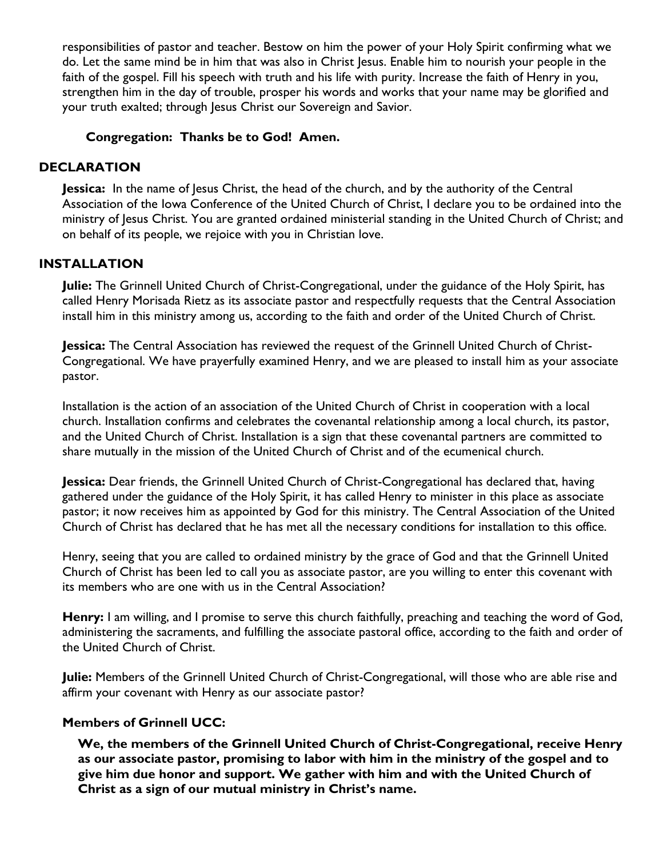responsibilities of pastor and teacher. Bestow on him the power of your Holy Spirit confirming what we do. Let the same mind be in him that was also in Christ Jesus. Enable him to nourish your people in the faith of the gospel. Fill his speech with truth and his life with purity. Increase the faith of Henry in you, strengthen him in the day of trouble, prosper his words and works that your name may be glorified and your truth exalted; through Jesus Christ our Sovereign and Savior.

## **Congregation: Thanks be to God! Amen.**

## **DECLARATION**

**Jessica:** In the name of Jesus Christ, the head of the church, and by the authority of the Central Association of the Iowa Conference of the United Church of Christ, I declare you to be ordained into the ministry of Jesus Christ. You are granted ordained ministerial standing in the United Church of Christ; and on behalf of its people, we rejoice with you in Christian love.

## **INSTALLATION**

**Julie:** The Grinnell United Church of Christ-Congregational, under the guidance of the Holy Spirit, has called Henry Morisada Rietz as its associate pastor and respectfully requests that the Central Association install him in this ministry among us, according to the faith and order of the United Church of Christ.

**Jessica:** The Central Association has reviewed the request of the Grinnell United Church of Christ-Congregational. We have prayerfully examined Henry, and we are pleased to install him as your associate pastor.

Installation is the action of an association of the United Church of Christ in cooperation with a local church. Installation confirms and celebrates the covenantal relationship among a local church, its pastor, and the United Church of Christ. Installation is a sign that these covenantal partners are committed to share mutually in the mission of the United Church of Christ and of the ecumenical church.

**Jessica:** Dear friends, the Grinnell United Church of Christ-Congregational has declared that, having gathered under the guidance of the Holy Spirit, it has called Henry to minister in this place as associate pastor; it now receives him as appointed by God for this ministry. The Central Association of the United Church of Christ has declared that he has met all the necessary conditions for installation to this office.

Henry, seeing that you are called to ordained ministry by the grace of God and that the Grinnell United Church of Christ has been led to call you as associate pastor, are you willing to enter this covenant with its members who are one with us in the Central Association?

**Henry:** I am willing, and I promise to serve this church faithfully, preaching and teaching the word of God, administering the sacraments, and fulfilling the associate pastoral office, according to the faith and order of the United Church of Christ.

**Julie:** Members of the Grinnell United Church of Christ-Congregational, will those who are able rise and affirm your covenant with Henry as our associate pastor?

## **Members of Grinnell UCC:**

**We, the members of the Grinnell United Church of Christ-Congregational, receive Henry as our associate pastor, promising to labor with him in the ministry of the gospel and to give him due honor and support. We gather with him and with the United Church of Christ as a sign of our mutual ministry in Christ's name.**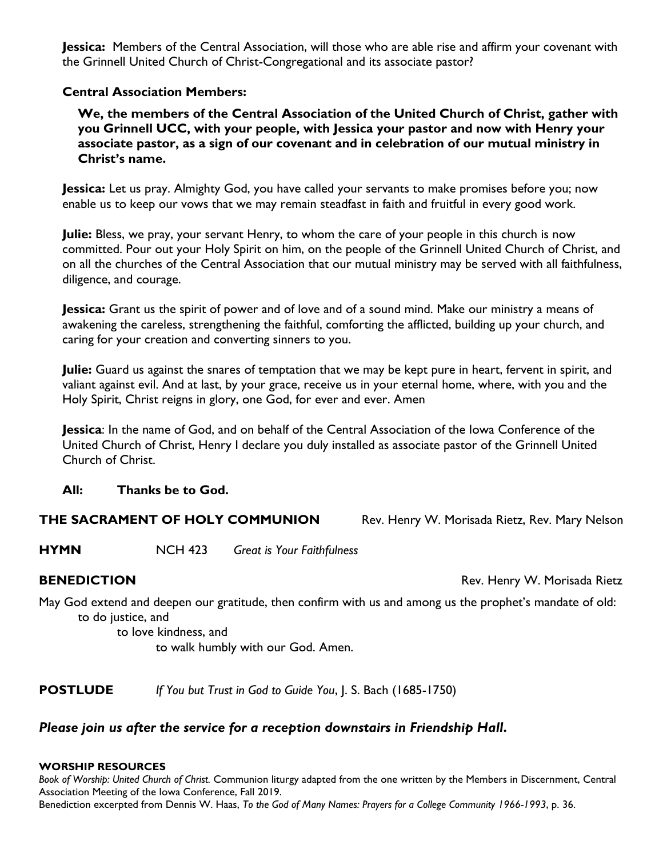**Jessica:** Members of the Central Association, will those who are able rise and affirm your covenant with the Grinnell United Church of Christ-Congregational and its associate pastor?

## **Central Association Members:**

**We, the members of the Central Association of the United Church of Christ, gather with you Grinnell UCC, with your people, with Jessica your pastor and now with Henry your associate pastor, as a sign of our covenant and in celebration of our mutual ministry in Christ's name.**

**Jessica:** Let us pray. Almighty God, you have called your servants to make promises before you; now enable us to keep our vows that we may remain steadfast in faith and fruitful in every good work.

**Julie:** Bless, we pray, your servant Henry, to whom the care of your people in this church is now committed. Pour out your Holy Spirit on him, on the people of the Grinnell United Church of Christ, and on all the churches of the Central Association that our mutual ministry may be served with all faithfulness, diligence, and courage.

**Jessica:** Grant us the spirit of power and of love and of a sound mind. Make our ministry a means of awakening the careless, strengthening the faithful, comforting the afflicted, building up your church, and caring for your creation and converting sinners to you.

**Julie:** Guard us against the snares of temptation that we may be kept pure in heart, fervent in spirit, and valiant against evil. And at last, by your grace, receive us in your eternal home, where, with you and the Holy Spirit, Christ reigns in glory, one God, for ever and ever. Amen

**Jessica**: In the name of God, and on behalf of the Central Association of the Iowa Conference of the United Church of Christ, Henry I declare you duly installed as associate pastor of the Grinnell United Church of Christ.

## **All: Thanks be to God.**

#### **THE SACRAMENT OF HOLY COMMUNION** Rev. Henry W. Morisada Rietz, Rev. Mary Nelson

**HYMN** NCH 423 *Great is Your Faithfulness*

**BENEDICTION Rev. Henry W. Morisada Rietz** 

May God extend and deepen our gratitude, then confirm with us and among us the prophet's mandate of old: to do justice, and

to love kindness, and to walk humbly with our God. Amen.

**POSTLUDE** *If You but Trust in God to Guide You*, J. S. Bach (1685-1750)

## *Please join us after the service for a reception downstairs in Friendship Hall.*

#### **WORSHIP RESOURCES**

*Book of Worship: United Church of Christ.* Communion liturgy adapted from the one written by the Members in Discernment, Central Association Meeting of the Iowa Conference, Fall 2019.

Benediction excerpted from Dennis W. Haas, *To the God of Many Names: Prayers for a College Community 1966-1993*, p. 36.